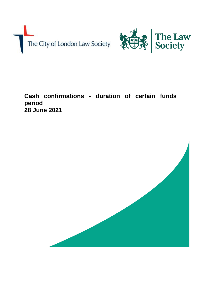



**Cash confirmations - duration of certain funds period 28 June 2021**

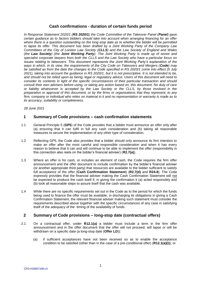# **Cash confirmations - duration of certain funds period**

*In Response Statement 2020/1 (RS 2020/1) the Code Committee of the Takeover Panel (Panel) gave certain guidance as to factors bidders should take into account when arranging financing for an offer where there is a question outstanding on the long-stop date as to whether the bidder will be permitted to lapse its offer. This document has been drafted by a Joint Working Party of the Company Law Committees of the City of London Law Society (CLLS) and the Law Society of England and Wales (the Law Society) (the Joint Working Party). The Joint Working Party is made up of senior and specialist corporate lawyers from both the CLLS and the Law Society who have a particular focus on issues relating to takeovers. This document represents the Joint Working Party's explanation of the ways in which, in its view, the requirements of the City Code on Takeovers and Mergers (Code) may be satisfied as from the date the changes to the Code specified in RS 2020/1 come into effect (5 July 2021), taking into account the guidance in RS 2020/1, but it is not prescriptive. It is not intended to be, and should not be relied upon as being, legal or regulatory advice. Users of this document will need to consider its contents in light of the specific circumstances of their particular transaction and should consult their own advisers before using, or taking any action based on, this document. No duty of care or liability whatsoever is accepted by the Law Society or the CLLS, by those involved in the preparation or approval of this document, or by the firms or organisations that they represent, to any firm, company or individual who relies on material in it and no representation or warranty is made as to its accuracy, suitability or completeness.*

*28 June 2021*

### **1 Summary of Code provisions – cash confirmation statements**

- 1.1 General Principle 5 (**GP5**) of the Code provides that a bidder must announce an offer only after (a) ensuring that it can fulfil in full any cash consideration and (b) taking all reasonable measures to secure the implementation of any other type of consideration.
- 1.2 Reflecting GP5, the Code also provides that a bidder should only announce its firm intention to make an offer after the most careful and responsible consideration and when it has every reason to believe that it can and will continue to be able to implement the offer (responsibility in this connection also rests on the bidder's financial adviser) (**R2.7(a)**).
- 1.3 Where an offer is for cash, or includes an element of cash, the Code requires the firm offer announcement and the offer document to include confirmation by the bidder's financial adviser (or another appropriate third party) that resources are available to the bidder sufficient to satisfy full acceptance of the offer (**Cash Confirmation Statement**) (**R2.7(d)** and **R24.8**). The Code expressly provides that the financial adviser making the Cash Confirmation Statement will not be expected to produce the cash itself if, in giving the confirmation it (a) acted responsibly and (b) took all reasonable steps to assure itself that the cash was available.
- 1.4 While there are no specific requirements set out in the Code as to the period for which the funds being used to finance the offer must be available, in discharging its obligations in giving a Cash Confirmation Statement, the relevant financial adviser making such statement must consider the requirements described above together with the specific circumstances of any case in satisfying itself of the adequacy of the timing of the availability of funds.

# **2 Summary of Code provisions – long-stop date (contractual offers)**

- 2.1 On a contractual offer, under **R12.1(a)** a bidder must include a term in the firm offer announcement and in the offer document that the offer will not proceed, will lapse or will be withdrawn on a specific date (a long-stop date (**Offer LD**)):
	- (a) if sufficient acceptances have not been received so as to enable the acceptance condition to be satisfied (other than in the case of a pre-conditional offer) (**R12.1(a)(i)**); or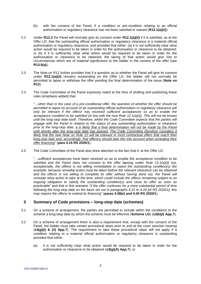- (b) with the consent of the Panel, if a condition or pre-condition relating to an official authorisation or regulatory clearance has not been satisfied or waived (**R12.1(a)(ii)**).
- 2.2 Under **R12.2** the Panel will normally give its consent under **R12.1(a)(ii)** if it is satisfied, as at the Offer LD, that the outstanding official authorisation or regulatory clearance is a material official authorisation or regulatory clearance, and provided that either: (a) it is not sufficiently clear what action would be required to be taken in order for the authorisation or clearance to be obtained; or (b) if it is sufficiently clear what action would be required to be taken in order for the authorisation or clearance to be obtained, the taking of that action would give rise to circumstances which are of material significance to the bidder in the context of the offer (see **R13.5(a)**).
- 2.3 The Note on R12 further provides that if a question as to whether the Panel will give its consent under **R12.1(a)(ii)** remains outstanding on the Offer LD, the bidder will not normally be permitted to lapse or withdraw the offer pending the final determination of the issue (**Note on R12**).
- <span id="page-2-0"></span>2.4 The Code Committee of the Panel expressly noted at the time of drafting and publishing these rules (emphasis added) that:

"…*other than in the case of a pre-conditional offer, the question of whether the offer should be permitted to lapse on account of an outstanding official authorisation or regulatory clearance will only be relevant if the offeror has received sufficient acceptances so as to enable the acceptance condition to be satisfied (in line with the new Rule 12.1(a)(i)). This will not be known until the long-stop date itself. Therefore, whilst the Code Committee expects that the parties will engage with the Panel in relation to the status of any outstanding authorisation or clearance*  prior to the long-stop date, it is likely that a final determination will not be made by the Panel *until shortly after the long-stop date has passed. The Code Committee therefore considers it*  likely that the new Note on Rule 12 will be relevant in most contractual offers that reach their *long-stop date and, accordingly, that offerors should take this into account when arranging their offer financing*" (**para 4.15 RS 2020/1**).

<span id="page-2-1"></span>2.5 The Code Committee of the Panel also drew attention to the fact that if, at the Offer LD:

"*…sufficient acceptances have been received so as to enable the acceptance condition to be satisfied and the Panel does not consent to the offer lapsing under Rule 12.1(a)(ii) but, exceptionally, the offeror is not willing immediately to waive the outstanding condition(s) (for example, because remedial action must be taken before the relevant clearance can be obtained and the offeror is not willing to complete its offer without having done so), the Panel will consider what action to take at the time, which could include the offeror remaining subject to an ongoing obligation to satisfy the outstanding condition(s) and close its offer as soon as practicable*" and that in this scenario "*if the offer continues for a more substantial period of time following the long-stop date on the basis set out in paragraphs 4.21 to 4.24 [of RS 2020/1], this may require the offeror to extend its financing*" (**paras 4.38(e) and 4.40 RS 2020/1**).

# **3 Summary of Code provisions – long-stop date (schemes)**

- 3.1 On a scheme of arrangement, the parties are permitted to include within the conditions to the scheme a long-stop date by which the scheme must be effective (**Scheme LD**) (**s3(b)(i) App.7**).
- 3.2 On a scheme of arrangement there is also a requirement that, except with the consent of the Panel, the bidder must take certain procedural steps prior to and at the court sanction hearing (**s3(g)(i) & (ii) App.7**). The requirement to take these procedural steps will not apply if a condition relating to a material official authorisation or regulatory clearance is outstanding provided that either:
	- (a) it is not sufficiently clear what action would be required to be taken in order for the authorisation or clearance to be obtained (**s3(g)(A) App.7**); or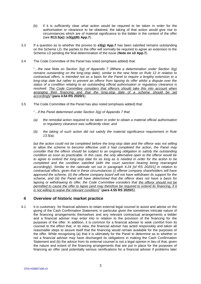- (b) if it is sufficiently clear what action would be required to be taken in order for the authorisation or clearance to be obtained, the taking of that action would give rise to circumstances which are of material significance to the bidder in the context of the offer (see **R13.5(a)**) (**s3(g)(B) App.7**).
- 3.3 If a question as to whether the proviso to **s3(g) App.7** has been satisfied remains outstanding on the Scheme LD, the parties to the offer will normally be required to agree an extension to the Scheme LD pending the final determination of the issue (**Note on s3 App.7**).
- <span id="page-3-0"></span>3.4 The Code Committee of the Panel has noted (emphasis added) that:

"*…the new Note on Section 3(g) of Appendix 7 (Where a determination under Section 3(g) remains outstanding on the long-stop date), similar to the new Note on Rule 12 in relation to contractual offers, is intended not as a basis for the Panel to require a lengthy extension to a long-stop date but rather to prevent an offeror from lapsing its offer whilst a dispute over the status of a condition relating to an outstanding official authorisation or regulatory clearance is resolved. The Code Committee considers that offerors should take this into account when arranging their financing and that the long-stop date of a scheme should be set accordingly*"(**para 4.54 RS 2020/1**).

<span id="page-3-1"></span>3.5 The Code Committee of the Panel has also noted (emphasis added) that:

"*…if the Panel determined under Section 3(g) of Appendix 7 that:* 

- *(a) the remedial action required to be taken in order to obtain a material official authorisation or regulatory clearance was sufficiently clear; and*
- *(b) the taking of such action did not satisfy the material significance requirement in Rule 13.5(a),*

*but the action could not be completed before the long-stop date and the offeror was not willing to allow the scheme to become effective until it had completed the action, the Panel may consider that the offeror should be subject to an ongoing obligation to satisfy the outstanding condition as soon as practicable. In this case, the only alternative open to the offeror would be to agree to extend the long-stop date for as long as is needed in order for the action to be completed and the condition satisfied (with the court sanction hearing being rearranged accordingly). Similar to the rationale set out in paragraph 4.24 [of RS 2020/1] in relation to contractual offers, given that in these circumstances (i) offeree company shareholders will have approved the scheme, (ii) the offeree company board will not have withdrawn its support for the scheme, and (iii) the Panel will have determined that the offeror does not have a basis for lapsing or withdrawing its offer, the Code Committee considers that the offeror should not be permitted to cause the offer to lapse (and may therefore be required to extend its financing, if it is not willing to waive the relevant condition)*" (**para 4.55 RS 2020/1**).

# **4 Overview of historic market practice**

4.1 It is customary for financial advisers to retain external legal counsel to assist and advise on the giving of the Cash Confirmation Statement, in particular given the sometimes intricate nature of the financing arrangements themselves and any relevant contractual arrangements a bidder and a financial adviser may enter into in relation to the provision of the financing for the purposes of the offer. In addition, it is common for a financial adviser to seek comfort from its counsel to the effect that, in its view, the financial adviser has acted responsibly and taken all reasonable steps to assure itself that the financing would remain available for the purposes of the offer. While recognising (a) that it is ultimately for the Panel to determine as to whether or not a financial adviser may have discharged its obligations in making the Cash Confirmation Statement and (b) the advice from its external counsel is not a legal opinion in lieu of that, given the nature and extent of the financing arrangements that are put in place for the purposes of financing an offer (and potentially serious ramifications for a financial adviser if problems later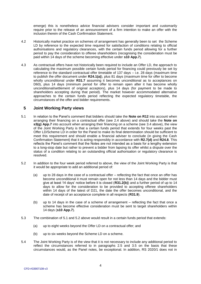emerge) this is nonetheless advice financial advisers consider important and customarily require prior to the release of an announcement of a firm intention to make an offer with the inclusion therein of the Cash Confirmation Statement.

- 4.2 Historically market practice on schemes of arrangement has generally been to set the Scheme LD by reference to the expected time required for satisfaction of conditions relating to official authorisations and regulatory clearances, with the certain funds period allowing for a further period to pay the consideration to offeree shareholders (recognising the consideration must be paid within 14 days of the scheme becoming effective under **s10 App.7**).
- 4.3 As contractual offers have not historically been required to include an Offer LD, the approach to calculating the maximum possible certain funds period for financing could previously be set by reference to the standard contractual offer timetable of 137 days – i.e. 28 days (maximum time to publish the offer document under **R24.1(a)**), plus 81 days (maximum time for offer to become wholly unconditional under **R31.7** assuming it becomes unconditional as to acceptances on D60), plus 14 days (minimum period for offer to remain open after it has become wholly unconditional/settlement of original acceptors), plus 14 days (for payment to be made to shareholders accepting during that period). The market however accommodated alternative approaches to the certain funds period reflecting the expected regulatory timetable, the circumstances of the offer and bidder requirements.

### **5 Joint Working Party views**

- <span id="page-4-0"></span>5.1 In relation to the Panel's comment that bidders should take the **Note on R12** into account when arranging their financing on a contractual offer (see [2.4](#page-2-0) above) and should take the **Note on s3(g) App.7** into account when arranging their financing on a scheme (see [3.4](#page-3-0) above), the view of the Joint Working Party is that a certain funds period that extends for four weeks past the Offer LD/Scheme LD in order for the Panel to make its final determination should be sufficient to meet this requirement and should enable a financial adviser to conclude (in giving the Cash Confirmation Statement) that it is acting responsibly in accordance with **R2.7(d)** and **R24.8**. This reflects the Panel's comment that the Notes are not intended as a basis for a lengthy extension to a long-stop date but rather to prevent a bidder from lapsing its offer whilst a dispute over the status of a condition relating to an outstanding official authorisation or regulatory clearance is resolved.
- <span id="page-4-1"></span>5.2 In addition to the four week period referred to above, the view of the Joint Working Party is that it would be appropriate to add an additional period of:
	- (a) up to 28 days in the case of a contractual offer reflecting the fact that once an offer has become unconditional it must remain open for not less than 14 days and the bidder must give at least 14 days' notice before it is closed (**R31.2(b)**) and a further period of up to 14 days to allow for the consideration to be provided to accepting offeree shareholders within 14 days of the latest of D21, the date the offer becomes unconditional, and the date of receipt of an acceptance complete in all respects (**R31.9**).
	- (b) up to 14 days in the case of a scheme of arrangement reflecting the fact that once a scheme has become effective consideration must be sent to target shareholders within 14 days (**s10 App.7**).
- <span id="page-4-2"></span>5.3 The combination of [5.1](#page-4-0) and [5.2](#page-4-1) above would result in a certain funds period that extends:
	- (a) up to eight weeks beyond the Offer LD on a contractual offer; and
	- (b) up to six weeks beyond the Scheme LD on a scheme.
- 5.4 The Joint Working Party is of the view that it is not necessary to include any additional period to reflect the circumstances referred to in paragraphs [2.5](#page-2-1) and [3.5](#page-3-1) on the basis that these circumstances would, as the Panel notes, be exceptional. In addition, RS 2020/1 does not in